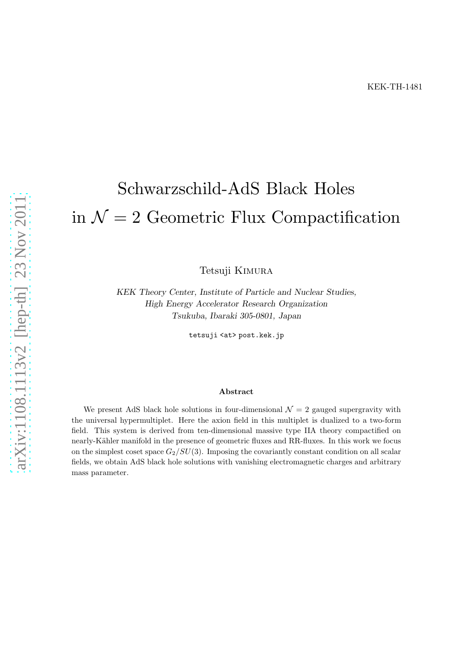# Schwarzschild-AdS Black Holes in  $\mathcal{N}=2$  Geometric Flux Compactification

Tetsuji Kimura

KEK Theory Center, Institute of Particle and Nuclear Studies, High Energy Accelerator Research Organization Tsukuba, Ibaraki 305-0801, Japan

tetsuji <at> post.kek.jp

#### Abstract

We present AdS black hole solutions in four-dimensional  $\mathcal{N}=2$  gauged supergravity with the universal hypermultiplet. Here the axion field in this multiplet is dualized to a two-form field. This system is derived from ten-dimensional massive type IIA theory compactified on nearly-K¨ahler manifold in the presence of geometric fluxes and RR-fluxes. In this work we focus on the simplest coset space  $G_2/SU(3)$ . Imposing the covariantly constant condition on all scalar fields, we obtain AdS black hole solutions with vanishing electromagnetic charges and arbitrary mass parameter.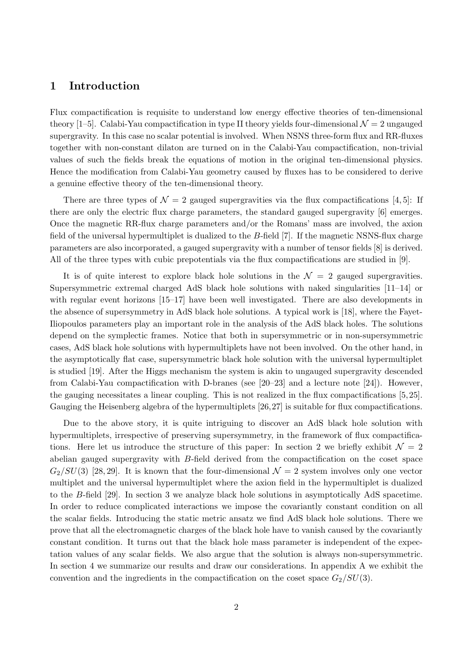## 1 Introduction

Flux compactification is requisite to understand low energy effective theories of ten-dimensional theory [1–5]. Calabi-Yau compactification in type II theory yields four-dimensional  $\mathcal{N}=2$  ungauged supergravity. In this case no scalar potential is involved. When NSNS three-form flux and RR-fluxes together with non-constant dilaton are turned on in the Calabi-Yau compactification, non-trivial values of such the fields break the equations of motion in the original ten-dimensional physics. Hence the modification from Calabi-Yau geometry caused by fluxes has to be considered to derive a genuine effective theory of the ten-dimensional theory.

There are three types of  $\mathcal{N} = 2$  gauged supergravities via the flux compactifications [4, 5]: If there are only the electric flux charge parameters, the standard gauged supergravity [6] emerges. Once the magnetic RR-flux charge parameters and/or the Romans' mass are involved, the axion field of the universal hypermultiplet is dualized to the B-field [7]. If the magnetic NSNS-flux charge parameters are also incorporated, a gauged supergravity with a number of tensor fields [8] is derived. All of the three types with cubic prepotentials via the flux compactifications are studied in [9].

It is of quite interest to explore black hole solutions in the  $\mathcal{N} = 2$  gauged supergravities. Supersymmetric extremal charged AdS black hole solutions with naked singularities [11–14] or with regular event horizons [15–17] have been well investigated. There are also developments in the absence of supersymmetry in AdS black hole solutions. A typical work is [18], where the Fayet-Iliopoulos parameters play an important role in the analysis of the AdS black holes. The solutions depend on the symplectic frames. Notice that both in supersymmetric or in non-supersymmetric cases, AdS black hole solutions with hypermultiplets have not been involved. On the other hand, in the asymptotically flat case, supersymmetric black hole solution with the universal hypermultiplet is studied [19]. After the Higgs mechanism the system is akin to ungauged supergravity descended from Calabi-Yau compactification with D-branes (see [20–23] and a lecture note [24]). However, the gauging necessitates a linear coupling. This is not realized in the flux compactifications [5, 25]. Gauging the Heisenberg algebra of the hypermultiplets [26,27] is suitable for flux compactifications.

Due to the above story, it is quite intriguing to discover an AdS black hole solution with hypermultiplets, irrespective of preserving supersymmetry, in the framework of flux compactifications. Here let us introduce the structure of this paper: In section 2 we briefly exhibit  $\mathcal{N} = 2$ abelian gauged supergravity with B-field derived from the compactification on the coset space  $G_2/SU(3)$  [28, 29]. It is known that the four-dimensional  $\mathcal{N}=2$  system involves only one vector multiplet and the universal hypermultiplet where the axion field in the hypermultiplet is dualized to the B-field [29]. In section 3 we analyze black hole solutions in asymptotically AdS spacetime. In order to reduce complicated interactions we impose the covariantly constant condition on all the scalar fields. Introducing the static metric ansatz we find AdS black hole solutions. There we prove that all the electromagnetic charges of the black hole have to vanish caused by the covariantly constant condition. It turns out that the black hole mass parameter is independent of the expectation values of any scalar fields. We also argue that the solution is always non-supersymmetric. In section 4 we summarize our results and draw our considerations. In appendix A we exhibit the convention and the ingredients in the compactification on the coset space  $G_2/SU(3)$ .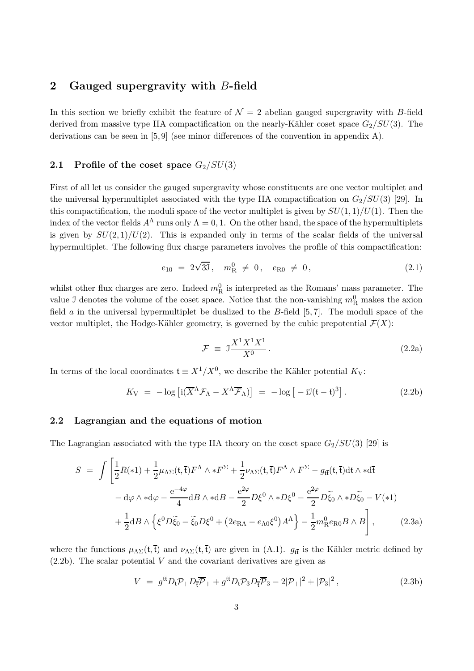## 2 Gauged supergravity with B-field

In this section we briefly exhibit the feature of  $\mathcal{N} = 2$  abelian gauged supergravity with B-field derived from massive type IIA compactification on the nearly-Kähler coset space  $G_2/SU(3)$ . The derivations can be seen in  $[5, 9]$  (see minor differences of the convention in appendix A).

#### 2.1 Profile of the coset space  $G_2/SU(3)$

First of all let us consider the gauged supergravity whose constituents are one vector multiplet and the universal hypermultiplet associated with the type IIA compactification on  $G_2/SU(3)$  [29]. In this compactification, the moduli space of the vector multiplet is given by  $SU(1,1)/U(1)$ . Then the index of the vector fields  $A^{\Lambda}$  runs only  $\Lambda = 0, 1$ . On the other hand, the space of the hypermultiplets is given by  $SU(2,1)/U(2)$ . This is expanded only in terms of the scalar fields of the universal hypermultiplet. The following flux charge parameters involves the profile of this compactification:

$$
e_{10} = 2\sqrt{3J}, \quad m_{\rm R}^0 \neq 0, \quad e_{\rm R0} \neq 0, \tag{2.1}
$$

whilst other flux charges are zero. Indeed  $m_R^0$  is interpreted as the Romans' mass parameter. The value J denotes the volume of the coset space. Notice that the non-vanishing  $m<sub>R</sub><sup>0</sup>$  makes the axion field  $\alpha$  in the universal hypermultiplet be dualized to the B-field [5,7]. The moduli space of the vector multiplet, the Hodge-Kähler geometry, is governed by the cubic prepotential  $\mathcal{F}(X)$ :

$$
\mathcal{F} \equiv \mathcal{I} \frac{X^1 X^1 X^1}{X^0} \,. \tag{2.2a}
$$

In terms of the local coordinates  $\mathfrak{t} \equiv X^1/X^0$ , we describe the Kähler potential  $K_V$ :

$$
K_{\rm V} = -\log\left[i(\overline{X}^{\Lambda}\mathcal{F}_{\Lambda} - X^{\Lambda}\overline{\mathcal{F}}_{\Lambda})\right] = -\log\left[-i\mathfrak{I}(t-\overline{t})^3\right].\tag{2.2b}
$$

#### 2.2 Lagrangian and the equations of motion

The Lagrangian associated with the type IIA theory on the coset space  $G_2/SU(3)$  [29] is

$$
S = \int \left[ \frac{1}{2} R(*1) + \frac{1}{2} \mu_{\Lambda\Sigma} (t, \overline{t}) F^{\Lambda} \wedge *F^{\Sigma} + \frac{1}{2} \nu_{\Lambda\Sigma} (t, \overline{t}) F^{\Lambda} \wedge F^{\Sigma} - g_{t\overline{t}} (t, \overline{t}) dt \wedge *d\overline{t} \right]
$$
  
- d\varphi \wedge \*d\varphi - \frac{e^{-4\varphi}}{4} dB \wedge \*dB - \frac{e^{2\varphi}}{2} D\xi^{0} \wedge \*D\xi^{0} - \frac{e^{2\varphi}}{2} D\xi\_{0} \wedge \*D\xi\_{0} - V(\*1)  
+ \frac{1}{2} dB \wedge \left\{ \xi^{0} D\xi\_{0} - \xi\_{0} D\xi^{0} + (2e\_{\text{RA}} - e\_{\Lambda0}\xi^{0}) A^{\Lambda} \right\} - \frac{1}{2} m\_{\text{R}}^{0} e\_{\text{R}0} B \wedge B \right], \qquad (2.3a)

where the functions  $\mu_{\Lambda\Sigma}(\mathfrak{t},\bar{\mathfrak{t}})$  and  $\nu_{\Lambda\Sigma}(\mathfrak{t},\bar{\mathfrak{t}})$  are given in (A.1).  $g_{\mathfrak{t}\bar{\mathfrak{t}}}$  is the Kähler metric defined by  $(2.2b)$ . The scalar potential V and the covariant derivatives are given as

$$
V = g^{\tilde{\mathfrak{t}}}\bar{D}_{\mathfrak{t}}\mathcal{P}_{+}D_{\overline{\mathfrak{t}}}\bar{\mathcal{P}}_{+} + g^{\tilde{\mathfrak{t}}}\bar{D}_{\mathfrak{t}}\mathcal{P}_{3}D_{\overline{\mathfrak{t}}}\bar{\mathcal{P}}_{3} - 2|\mathcal{P}_{+}|^{2} + |\mathcal{P}_{3}|^{2}, \qquad (2.3b)
$$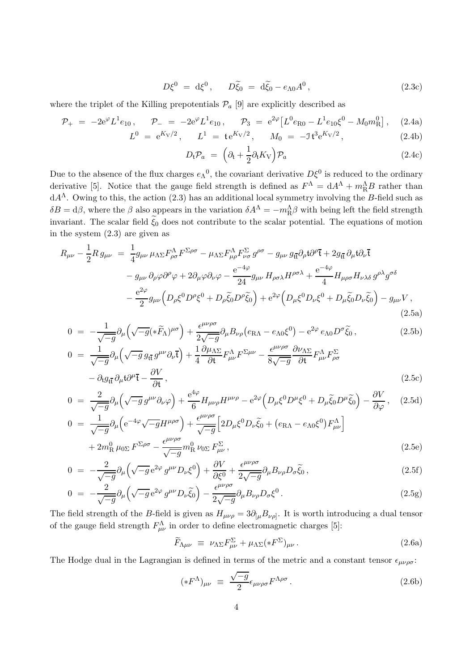$$
D\xi^0 = d\xi^0, \qquad D\tilde{\xi}_0 = d\tilde{\xi}_0 - e_{\Lambda 0}A^0, \qquad (2.3c)
$$

where the triplet of the Killing prepotentials  $\mathcal{P}_a$  [9] are explicitly described as

$$
\mathcal{P}_{+} = -2e^{\varphi}L^{1}e_{10}, \qquad \mathcal{P}_{-} = -2e^{\varphi}L^{1}e_{10}, \qquad \mathcal{P}_{3} = e^{2\varphi}\left[L^{0}e_{R0} - L^{1}e_{10}\xi^{0} - M_{0}m_{R}^{0}\right], \tag{2.4a}
$$

$$
L^{0} = e^{K_{V}/2}, \qquad L^{1} = t e^{K_{V}/2}, \qquad M_{0} = -J t^{3} e^{K_{V}/2}, \qquad (2.4b)
$$

$$
D_{\mathfrak{t}}\mathcal{P}_a = \left(\partial_{\mathfrak{t}} + \frac{1}{2}\partial_{\mathfrak{t}}K_{\mathcal{V}}\right)\mathcal{P}_a \tag{2.4c}
$$

Due to the absence of the flux charges  $e_{\Lambda}{}^{0}$ , the covariant derivative  $D\xi^{0}$  is reduced to the ordinary derivative [5]. Notice that the gauge field strength is defined as  $F^{\Lambda} = dA^{\Lambda} + m_R^{\Lambda}B$  rather than  $dA^{\Lambda}$ . Owing to this, the action (2.3) has an additional local symmetry involving the B-field such as  $\delta B = d\beta$ , where the  $\beta$  also appears in the variation  $\delta A^{\Lambda} = -m_R^{\Lambda} \beta$  with being left the field strength invariant. The scalar field  $\xi_0$  does not contribute to the scalar potential. The equations of motion in the system (2.3) are given as

$$
R_{\mu\nu} - \frac{1}{2} R g_{\mu\nu} = \frac{1}{4} g_{\mu\nu} \mu_{\Lambda \Sigma} F^{\Lambda}_{\rho \sigma} F^{\Sigma \rho \sigma} - \mu_{\Lambda \Sigma} F^{\Lambda}_{\mu\rho} F^{\Sigma}_{\nu \sigma} g^{\rho \sigma} - g_{\mu\nu} g_{t\bar{t}} \partial_{\rho} t \partial^{\rho} \bar{t} + 2 g_{t\bar{t}} \partial_{\mu} t \partial_{\nu} \bar{t} - g_{\mu\nu} \partial_{\rho} \varphi \partial^{\rho} \varphi + 2 \partial_{\mu} \varphi \partial_{\nu} \varphi - \frac{e^{-4\varphi}}{24} g_{\mu\nu} H_{\rho \sigma \lambda} H^{\rho \sigma \lambda} + \frac{e^{-4\varphi}}{4} H_{\mu\rho \sigma} H_{\nu \lambda \delta} g^{\rho \lambda} g^{\sigma \delta} - \frac{e^{2\varphi}}{2} g_{\mu\nu} \left( D_{\rho} \xi^{0} D^{\rho} \xi^{0} + D_{\rho} \tilde{\xi}_{0} D^{\rho} \tilde{\xi}_{0} \right) + e^{2\varphi} \left( D_{\mu} \xi^{0} D_{\nu} \xi^{0} + D_{\mu} \tilde{\xi}_{0} D_{\nu} \tilde{\xi}_{0} \right) - g_{\mu\nu} V ,
$$
\n(2.5a)

$$
0 = -\frac{1}{\sqrt{-g}} \partial_{\mu} \left( \sqrt{-g} (\ast \widetilde{F}_{\Lambda})^{\mu \sigma} \right) + \frac{\epsilon^{\mu \nu \rho \sigma}}{2\sqrt{-g}} \partial_{\mu} B_{\nu \rho} \left( e_{\rm RA} - e_{\Lambda 0} \xi^{0} \right) - e^{2\varphi} e_{\Lambda 0} D^{\sigma} \widetilde{\xi}_{0} , \tag{2.5b}
$$

$$
0 = \frac{1}{\sqrt{-g}} \partial_{\mu} \left( \sqrt{-g} g_{t\bar{t}} g^{\mu\nu} \partial_{\nu} \bar{t} \right) + \frac{1}{4} \frac{\partial \mu_{\Lambda \Sigma}}{\partial t} F^{\Lambda}_{\mu\nu} F^{\Sigma \mu\nu} - \frac{\epsilon^{\mu\nu\rho\sigma}}{8 \sqrt{-g}} \frac{\partial \nu_{\Lambda \Sigma}}{\partial t} F^{\Lambda}_{\mu\nu} F^{\Sigma}_{\rho\sigma} - \partial_{t} g_{t\bar{t}} \partial_{\mu} t \partial^{\mu} \bar{t} - \frac{\partial V}{\partial t},
$$
\n(2.5c)

$$
0 = \frac{2}{\sqrt{-g}} \partial_{\mu} \left( \sqrt{-g} g^{\mu \nu} \partial_{\nu} \varphi \right) + \frac{e^{4\varphi}}{6} H_{\mu \nu \rho} H^{\mu \nu \rho} - e^{2\varphi} \left( D_{\mu} \xi^{0} D^{\mu} \xi^{0} + D_{\mu} \widetilde{\xi}_{0} D^{\mu} \widetilde{\xi}_{0} \right) - \frac{\partial V}{\partial \varphi}, \quad (2.5d)
$$
  
\n
$$
0 = \frac{1}{2} \partial_{\mu} \left( e^{-4\varphi} \sqrt{-g} H^{\mu \rho \sigma} \right) + \frac{e^{\mu \nu \rho \sigma}}{2} \left[ 2D_{\mu} \xi^{0} D_{\mu} \widetilde{\xi}_{0} + \left( \varepsilon_{0} \xi^{0} \right) E^{\Lambda} \right]
$$

$$
0 = \frac{1}{\sqrt{-g}} \partial_{\mu} \left( e^{-4\varphi} \sqrt{-g} H^{\mu \rho \sigma} \right) + \frac{\epsilon^{\mu \nu \rho \sigma}}{\sqrt{-g}} \left[ 2D_{\mu} \xi^{0} D_{\nu} \tilde{\xi}_{0} + \left( e_{\text{RA}} - e_{\text{AO}} \xi^{0} \right) F^{\Lambda}_{\mu \nu} \right] + 2m_{\text{R}}^{0} \mu_{0\Sigma} F^{\Sigma \rho \sigma} - \frac{\epsilon^{\mu \nu \rho \sigma}}{\sqrt{-g}} m_{\text{R}}^{0} \nu_{0\Sigma} F^{\Sigma}_{\mu \nu},
$$
(2.5e)

$$
0 = -\frac{2}{\sqrt{-g}} \partial_{\mu} \left( \sqrt{-g} e^{2\varphi} g^{\mu\nu} D_{\nu} \xi^{0} \right) + \frac{\partial V}{\partial \xi^{0}} + \frac{\epsilon^{\mu\nu\rho\sigma}}{2\sqrt{-g}} \partial_{\mu} B_{\nu\rho} D_{\sigma} \widetilde{\xi}_{0} , \qquad (2.5f)
$$

$$
0 = -\frac{2}{\sqrt{-g}} \partial_{\mu} \left( \sqrt{-g} e^{2\varphi} g^{\mu\nu} D_{\nu} \tilde{\xi}_0 \right) - \frac{\epsilon^{\mu\nu\rho\sigma}}{2\sqrt{-g}} \partial_{\mu} B_{\nu\rho} D_{\sigma} \xi^0 \,. \tag{2.5g}
$$

The field strength of the B-field is given as  $H_{\mu\nu\rho} = 3\partial_{[\mu}B_{\nu\rho]}$ . It is worth introducing a dual tensor of the gauge field strength  $F^{\Lambda}_{\mu\nu}$  in order to define electromagnetic charges [5]:

$$
\widetilde{F}_{\Lambda\mu\nu} \equiv \nu_{\Lambda\Sigma} F_{\mu\nu}^{\Sigma} + \mu_{\Lambda\Sigma} (*F^{\Sigma})_{\mu\nu} . \tag{2.6a}
$$

The Hodge dual in the Lagrangian is defined in terms of the metric and a constant tensor  $\epsilon_{\mu\nu\rho\sigma}$ :

$$
(*F^{\Lambda})_{\mu\nu} \equiv \frac{\sqrt{-g}}{2} \epsilon_{\mu\nu\rho\sigma} F^{\Lambda\rho\sigma} . \tag{2.6b}
$$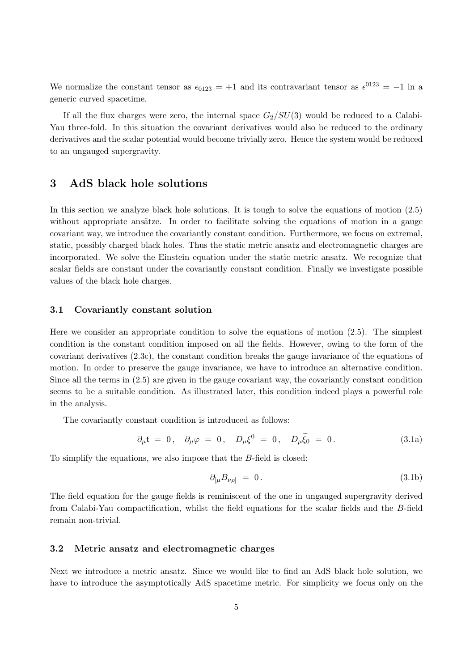We normalize the constant tensor as  $\epsilon_{0123} = +1$  and its contravariant tensor as  $\epsilon^{0123} = -1$  in a generic curved spacetime.

If all the flux charges were zero, the internal space  $G_2/SU(3)$  would be reduced to a Calabi-Yau three-fold. In this situation the covariant derivatives would also be reduced to the ordinary derivatives and the scalar potential would become trivially zero. Hence the system would be reduced to an ungauged supergravity.

## 3 AdS black hole solutions

In this section we analyze black hole solutions. It is tough to solve the equations of motion (2.5) without appropriate ansätze. In order to facilitate solving the equations of motion in a gauge covariant way, we introduce the covariantly constant condition. Furthermore, we focus on extremal, static, possibly charged black holes. Thus the static metric ansatz and electromagnetic charges are incorporated. We solve the Einstein equation under the static metric ansatz. We recognize that scalar fields are constant under the covariantly constant condition. Finally we investigate possible values of the black hole charges.

### 3.1 Covariantly constant solution

Here we consider an appropriate condition to solve the equations of motion (2.5). The simplest condition is the constant condition imposed on all the fields. However, owing to the form of the covariant derivatives (2.3c), the constant condition breaks the gauge invariance of the equations of motion. In order to preserve the gauge invariance, we have to introduce an alternative condition. Since all the terms in (2.5) are given in the gauge covariant way, the covariantly constant condition seems to be a suitable condition. As illustrated later, this condition indeed plays a powerful role in the analysis.

The covariantly constant condition is introduced as follows:

$$
\partial_{\mu} \mathfrak{t} = 0, \quad \partial_{\mu} \varphi = 0, \quad D_{\mu} \xi^{0} = 0, \quad D_{\mu} \widetilde{\xi}_{0} = 0. \tag{3.1a}
$$

To simplify the equations, we also impose that the B-field is closed:

$$
\partial_{\left[\mu}B_{\nu\rho\right]} = 0. \tag{3.1b}
$$

The field equation for the gauge fields is reminiscent of the one in ungauged supergravity derived from Calabi-Yau compactification, whilst the field equations for the scalar fields and the B-field remain non-trivial.

#### 3.2 Metric ansatz and electromagnetic charges

Next we introduce a metric ansatz. Since we would like to find an AdS black hole solution, we have to introduce the asymptotically AdS spacetime metric. For simplicity we focus only on the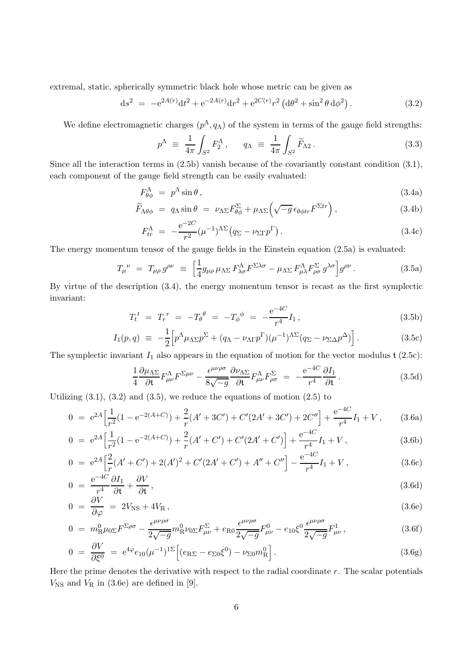extremal, static, spherically symmetric black hole whose metric can be given as

$$
ds^{2} = -e^{2A(r)}dt^{2} + e^{-2A(r)}dr^{2} + e^{2C(r)}r^{2} (d\theta^{2} + \sin^{2}\theta d\phi^{2}).
$$
\n(3.2)

We define electromagnetic charges  $(p^{\Lambda}, q_{\Lambda})$  of the system in terms of the gauge field strengths:

$$
p^{\Lambda} \equiv \frac{1}{4\pi} \int_{S^2} F_2^{\Lambda}, \qquad q_{\Lambda} \equiv \frac{1}{4\pi} \int_{S^2} \widetilde{F}_{\Lambda 2}.
$$
 (3.3)

Since all the interaction terms in (2.5b) vanish because of the covariantly constant condition (3.1), each component of the gauge field strength can be easily evaluated:

$$
F^{\Lambda}_{\theta\phi} = p^{\Lambda}\sin\theta, \tag{3.4a}
$$

$$
\widetilde{F}_{\Lambda\theta\phi} = q_{\Lambda}\sin\theta = \nu_{\Lambda\Sigma}F^{\Sigma}_{\theta\phi} + \mu_{\Lambda\Sigma}\left(\sqrt{-g}\epsilon_{\theta\phi tr}F^{\Sigma tr}\right),\tag{3.4b}
$$

$$
F_{tr}^{\Lambda} = -\frac{\mathrm{e}^{-2C}}{r^2} (\mu^{-1})^{\Lambda \Sigma} (q_{\Sigma} - \nu_{\Sigma \Gamma} p^{\Gamma}). \tag{3.4c}
$$

The energy momentum tensor of the gauge fields in the Einstein equation (2.5a) is evaluated:

$$
T_{\mu}^{\ \nu} = T_{\mu\rho} g^{\rho\nu} \equiv \left[ \frac{1}{4} g_{\mu\rho} \mu_{\Lambda\Sigma} F_{\lambda\sigma}^{\Lambda} F^{\Sigma\lambda\sigma} - \mu_{\Lambda\Sigma} F_{\mu\lambda}^{\Lambda} F_{\rho\sigma}^{\Sigma} g^{\lambda\sigma} \right] g^{\rho\nu} . \tag{3.5a}
$$

By virtue of the description (3.4), the energy momentum tensor is recast as the first symplectic invariant: −4C

$$
T_t^t = T_r^r = -T_\theta^\theta = -T_\phi^\phi = -\frac{e^{-4C}}{r^4}I_1,\tag{3.5b}
$$

$$
I_1(p,q) \equiv -\frac{1}{2} \Big[ p^{\Lambda} \mu_{\Lambda \Sigma} p^{\Sigma} + (q_{\Lambda} - \nu_{\Lambda \Gamma} p^{\Gamma}) (\mu^{-1})^{\Lambda \Sigma} (q_{\Sigma} - \nu_{\Sigma \Delta} p^{\Delta}) \Big]. \tag{3.5c}
$$

The symplectic invariant  $I_1$  also appears in the equation of motion for the vector modulus  $\mathfrak{t}$  (2.5c):

$$
\frac{1}{4}\frac{\partial\mu_{\Lambda\Sigma}}{\partial t}F^{\Lambda}_{\mu\nu}F^{\Sigma\mu\nu} - \frac{\epsilon^{\mu\nu\rho\sigma}}{8\sqrt{-g}}\frac{\partial\nu_{\Lambda\Sigma}}{\partial t}F^{\Lambda}_{\mu\nu}F^{\Sigma}_{\rho\sigma} = -\frac{e^{-4C}}{r^4}\frac{\partial I_1}{\partial t}.
$$
\n(3.5d)

Utilizing  $(3.1)$ ,  $(3.2)$  and  $(3.5)$ , we reduce the equations of motion  $(2.5)$  to

$$
0 = e^{2A} \left[ \frac{1}{r^2} (1 - e^{-2(A+C)}) + \frac{2}{r} (A' + 3C') + C'(2A' + 3C') + 2C'' \right] + \frac{e^{-4C}}{r^4} I_1 + V, \qquad (3.6a)
$$

$$
0 = e^{2A} \left[ \frac{1}{r^2} (1 - e^{-2(A+C)}) + \frac{2}{r} (A' + C') + C'(2A' + C') \right] + \frac{e^{-4C}}{r^4} I_1 + V, \tag{3.6b}
$$

$$
0 = e^{2A} \left[ \frac{2}{r} (A' + C') + 2(A')^2 + C'(2A' + C') + A'' + C'' \right] - \frac{e^{-4C}}{r^4} I_1 + V, \tag{3.6c}
$$

$$
0 = \frac{e^{-4C}}{r^4} \frac{\partial I_1}{\partial t} + \frac{\partial V}{\partial t}, \qquad (3.6d)
$$

$$
0 = \frac{\partial V}{\partial \varphi} = 2V_{\rm NS} + 4V_{\rm R} \,, \tag{3.6e}
$$

$$
0 = m_R^0 \mu_{0\Sigma} F^{\Sigma \rho \sigma} - \frac{\epsilon^{\mu \nu \rho \sigma}}{2\sqrt{-g}} m_R^0 \nu_{0\Sigma} F_{\mu \nu}^{\Sigma} + e_{R0} \frac{\epsilon^{\mu \nu \rho \sigma}}{2\sqrt{-g}} F_{\mu \nu}^0 - e_{10} \xi^0 \frac{\epsilon^{\mu \nu \rho \sigma}}{2\sqrt{-g}} F_{\mu \nu}^1, \tag{3.6f}
$$

$$
0 = \frac{\partial V}{\partial \xi^0} = e^{4\varphi} e_{10} (\mu^{-1})^{1\Sigma} \Big[ (e_{\rm R\Sigma} - e_{\Sigma 0} \xi^0) - \nu_{\Sigma 0} m_{\rm R}^0 \Big]. \tag{3.6g}
$$

Here the prime denotes the derivative with respect to the radial coordinate  $r$ . The scalar potentials  $V_{\text{NS}}$  and  $V_{\text{R}}$  in (3.6e) are defined in [9].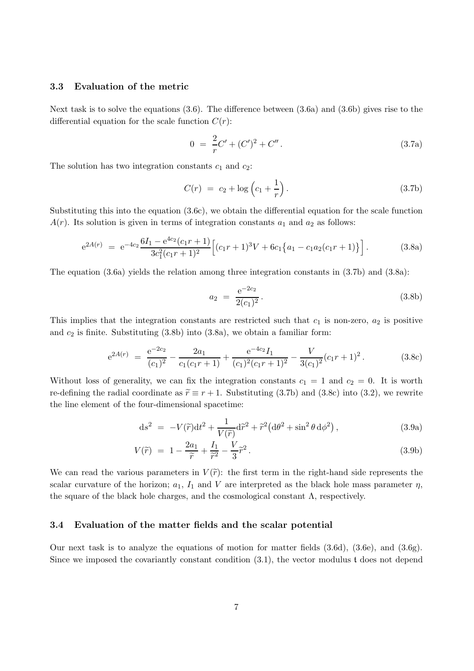#### 3.3 Evaluation of the metric

Next task is to solve the equations (3.6). The difference between (3.6a) and (3.6b) gives rise to the differential equation for the scale function  $C(r)$ :

$$
0 = \frac{2}{r}C' + (C')^{2} + C''.
$$
 (3.7a)

The solution has two integration constants  $c_1$  and  $c_2$ :

$$
C(r) = c_2 + \log\left(c_1 + \frac{1}{r}\right). \tag{3.7b}
$$

Substituting this into the equation (3.6c), we obtain the differential equation for the scale function  $A(r)$ . Its solution is given in terms of integration constants  $a_1$  and  $a_2$  as follows:

$$
e^{2A(r)} = e^{-4c_2} \frac{6I_1 - e^{4c_2}(c_1r + 1)}{3c_1^2(c_1r + 1)^2} \left[ (c_1r + 1)^3V + 6c_1\{a_1 - c_1a_2(c_1r + 1)\} \right].
$$
 (3.8a)

The equation (3.6a) yields the relation among three integration constants in (3.7b) and (3.8a):

$$
a_2 = \frac{e^{-2c_2}}{2(c_1)^2}.
$$
 (3.8b)

This implies that the integration constants are restricted such that  $c_1$  is non-zero,  $a_2$  is positive and  $c_2$  is finite. Substituting  $(3.8b)$  into  $(3.8a)$ , we obtain a familiar form:

$$
e^{2A(r)} = \frac{e^{-2c_2}}{(c_1)^2} - \frac{2a_1}{c_1(c_1r+1)} + \frac{e^{-4c_2}I_1}{(c_1)^2(c_1r+1)^2} - \frac{V}{3(c_1)^2}(c_1r+1)^2.
$$
 (3.8c)

Without loss of generality, we can fix the integration constants  $c_1 = 1$  and  $c_2 = 0$ . It is worth re-defining the radial coordinate as  $\tilde{r} \equiv r + 1$ . Substituting (3.7b) and (3.8c) into (3.2), we rewrite the line element of the four-dimensional spacetime:

$$
ds^{2} = -V(\tilde{r})dt^{2} + \frac{1}{V(\tilde{r})}d\tilde{r}^{2} + \tilde{r}^{2}(d\theta^{2} + \sin^{2}\theta d\phi^{2}),
$$
\n(3.9a)

$$
V(\widetilde{r}) = 1 - \frac{2a_1}{\widetilde{r}} + \frac{I_1}{\widetilde{r}^2} - \frac{V}{3}\widetilde{r}^2.
$$
\n(3.9b)

We can read the various parameters in  $V(\tilde{r})$ : the first term in the right-hand side represents the scalar curvature of the horizon;  $a_1$ ,  $I_1$  and V are interpreted as the black hole mass parameter  $\eta$ , the square of the black hole charges, and the cosmological constant  $\Lambda$ , respectively.

#### 3.4 Evaluation of the matter fields and the scalar potential

Our next task is to analyze the equations of motion for matter fields (3.6d), (3.6e), and (3.6g). Since we imposed the covariantly constant condition (3.1), the vector modulus t does not depend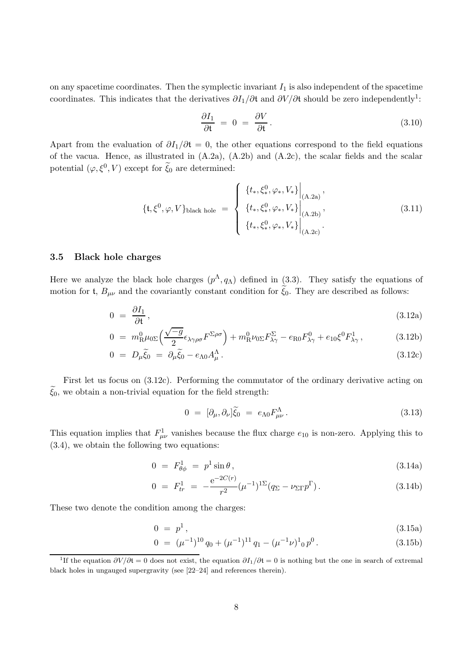on any spacetime coordinates. Then the symplectic invariant  $I_1$  is also independent of the spacetime coordinates. This indicates that the derivatives  $\partial I_1/\partial t$  and  $\partial V/\partial t$  should be zero independently<sup>1</sup>:

$$
\frac{\partial I_1}{\partial t} = 0 = \frac{\partial V}{\partial t}.
$$
\n(3.10)

Apart from the evaluation of  $\partial I_1/\partial t = 0$ , the other equations correspond to the field equations of the vacua. Hence, as illustrated in (A.2a), (A.2b) and (A.2c), the scalar fields and the scalar potential  $(\varphi, \xi^0, V)$  except for  $\tilde{\xi}_0$  are determined:

$$
\{t, \xi^0, \varphi, V\}_{\text{black hole}} = \begin{cases} \{t_*, \xi^0_*, \varphi_*, V_*\} \Big|_{\substack{(\Lambda.2a) \\ (A.2b)}, \\ \{t_*, \xi^0_*, \varphi_*, V_*\} \Big|_{\substack{(\Lambda.2b) \\ (\Lambda.2c)}}, \\ \end{cases}
$$
(3.11)

#### 3.5 Black hole charges

Here we analyze the black hole charges  $(p^{\Lambda}, q_{\Lambda})$  defined in (3.3). They satisfy the equations of motion for t,  $B_{\mu\nu}$  and the covariantly constant condition for  $\tilde{\xi}_0$ . They are described as follows:

$$
0 = \frac{\partial I_1}{\partial t}, \tag{3.12a}
$$

$$
0 = m_R^0 \mu_{0\Sigma} \left( \frac{\sqrt{-g}}{2} \epsilon_{\lambda\gamma\rho\sigma} F^{\Sigma\rho\sigma} \right) + m_R^0 \nu_{0\Sigma} F_{\lambda\gamma}^{\Sigma} - e_{R0} F_{\lambda\gamma}^0 + e_{10} \xi^0 F_{\lambda\gamma}^1, \qquad (3.12b)
$$

$$
0 = D_{\mu}\tilde{\xi}_0 = \partial_{\mu}\tilde{\xi}_0 - e_{\Lambda 0}A^{\Lambda}_{\mu}.
$$
\n(3.12c)

First let us focus on (3.12c). Performing the commutator of the ordinary derivative acting on  $\xi_0$ , we obtain a non-trivial equation for the field strength:

$$
0 = [\partial_{\mu}, \partial_{\nu}]\tilde{\xi}_0 = e_{\Lambda 0}F^{\Lambda}_{\mu\nu}.
$$
\n(3.13)

This equation implies that  $F_{\mu\nu}^1$  vanishes because the flux charge  $e_{10}$  is non-zero. Applying this to (3.4), we obtain the following two equations:

$$
0 = F_{\theta\phi}^1 = p^1 \sin \theta, \qquad (3.14a)
$$

$$
0 = F_{tr}^{1} = -\frac{e^{-2C(r)}}{r^{2}} (\mu^{-1})^{1\Sigma} (q_{\Sigma} - \nu_{\Sigma\Gamma} p^{\Gamma}). \qquad (3.14b)
$$

These two denote the condition among the charges:

$$
0 = p^1, \t\t(3.15a)
$$

$$
0 = (\mu^{-1})^{10} q_0 + (\mu^{-1})^{11} q_1 - (\mu^{-1} \nu)^1{}_0 p^0.
$$
 (3.15b)

<sup>&</sup>lt;sup>1</sup>If the equation  $\partial V/\partial t = 0$  does not exist, the equation  $\partial I_1/\partial t = 0$  is nothing but the one in search of extremal black holes in ungauged supergravity (see [22–24] and references therein).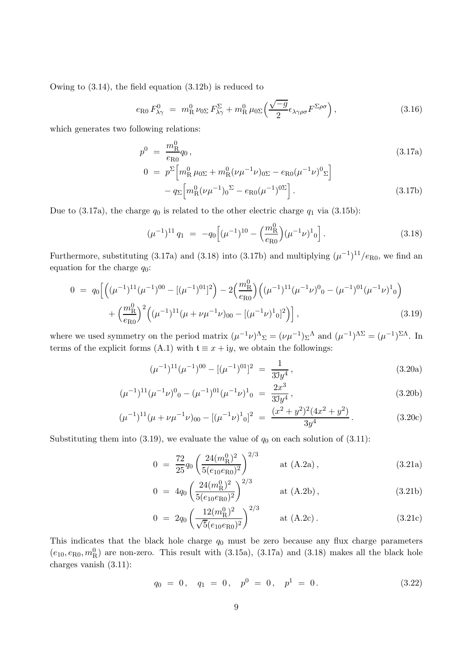Owing to (3.14), the field equation (3.12b) is reduced to

$$
e_{\text{R}0} F_{\lambda\gamma}^0 = m_{\text{R}}^0 \nu_{0\Sigma} F_{\lambda\gamma}^{\Sigma} + m_{\text{R}}^0 \mu_{0\Sigma} \left( \frac{\sqrt{-g}}{2} \epsilon_{\lambda\gamma\rho\sigma} F^{\Sigma\rho\sigma} \right), \tag{3.16}
$$

which generates two following relations:

$$
p^{0} = \frac{m_{\rm R}^{0}}{e_{\rm R0}} q_{0},
$$
\n
$$
0 = p^{\Sigma} \Big[ m_{\rm R}^{0} \mu_{0\Sigma} + m_{\rm R}^{0} (\nu \mu^{-1} \nu)_{0\Sigma} - e_{\rm R0} (\mu^{-1} \nu)^{0} \Sigma \Big]
$$
\n(3.17a)

$$
- q_{\Sigma} \left[ m_{\mathcal{R}}^0 (\nu \mu^{-1})_0^{\Sigma} - e_{\mathcal{R}0} (\mu^{-1})^{0\Sigma} \right]. \tag{3.17b}
$$

Due to (3.17a), the charge  $q_0$  is related to the other electric charge  $q_1$  via (3.15b):

$$
(\mu^{-1})^{11} q_1 = -q_0 \left[ (\mu^{-1})^{10} - \left( \frac{m_R^0}{e_{R0}} \right) (\mu^{-1} \nu)^1{}_0 \right]. \tag{3.18}
$$

Furthermore, substituting (3.17a) and (3.18) into (3.17b) and multiplying  $(\mu^{-1})^{11}/e_{R0}$ , we find an equation for the charge  $q_0$ :

$$
0 = q_0 \left[ \left( (\mu^{-1})^{11} (\mu^{-1})^{00} - [(\mu^{-1})^{01}]^2 \right) - 2 \left( \frac{m_R^0}{e_{R0}} \right) \left( (\mu^{-1})^{11} (\mu^{-1} \nu)^0{}_0 - (\mu^{-1})^{01} (\mu^{-1} \nu)^1{}_0 \right) \right. \\ \left. + \left( \frac{m_R^0}{e_{R0}} \right)^2 \left( (\mu^{-1})^{11} (\mu + \nu \mu^{-1} \nu)_{00} - [(\mu^{-1} \nu)^1{}_0]^2 \right) \right], \tag{3.19}
$$

where we used symmetry on the period matrix  $(\mu^{-1}\nu)^{\Lambda}{}_{\Sigma} = (\nu\mu^{-1})\Sigma^{\Lambda}$  and  $(\mu^{-1})^{\Lambda\Sigma} = (\mu^{-1})^{\Sigma\Lambda}$ . In terms of the explicit forms (A.1) with  $t \equiv x + iy$ , we obtain the followings:

$$
(\mu^{-1})^{11}(\mu^{-1})^{00} - [(\mu^{-1})^{01}]^2 = \frac{1}{33y^4},
$$
\n(3.20a)

$$
(\mu^{-1})^{11}(\mu^{-1}\nu)^0{}_0 - (\mu^{-1})^{01}(\mu^{-1}\nu)^1{}_0 = \frac{2x^3}{33y^4},\tag{3.20b}
$$

$$
(\mu^{-1})^{11}(\mu + \nu \mu^{-1} \nu)_{00} - [(\mu^{-1} \nu)^{1}{}_{0}]^{2} = \frac{(x^{2} + y^{2})^{2}(4x^{2} + y^{2})}{3y^{4}}.
$$
 (3.20c)

Substituting them into (3.19), we evaluate the value of  $q_0$  on each solution of (3.11):

$$
0 = \frac{72}{25}q_0 \left(\frac{24(m_\mathrm{R}^0)^2}{5(e_{10}e_{\mathrm{R}0})^2}\right)^{2/3} \quad \text{at (A.2a)}, \tag{3.21a}
$$

$$
0 = 4q_0 \left(\frac{24(m_R^0)^2}{5(e_{10}e_{R0})^2}\right)^{2/3} \quad \text{at (A.2b),} \tag{3.21b}
$$

$$
0 = 2q_0 \left(\frac{12(m_\mathrm{R}^0)^2}{\sqrt{5}(e_{10}e_{\mathrm{R}0})^2}\right)^{2/3} \quad \text{at (A.2c).} \tag{3.21c}
$$

This indicates that the black hole charge  $q_0$  must be zero because any flux charge parameters  $(e_{10}, e_{R0}, m_R^0)$  are non-zero. This result with (3.15a), (3.17a) and (3.18) makes all the black hole charges vanish (3.11):

$$
q_0 = 0, \quad q_1 = 0, \quad p^0 = 0, \quad p^1 = 0. \tag{3.22}
$$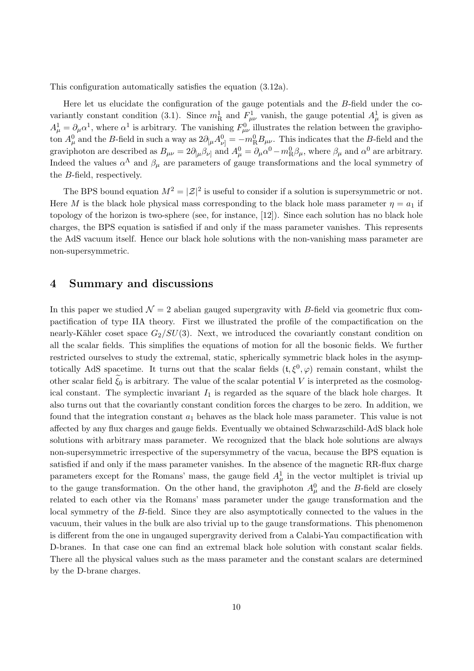This configuration automatically satisfies the equation (3.12a).

Here let us elucidate the configuration of the gauge potentials and the B-field under the covariantly constant condition (3.1). Since  $m_R^1$  and  $F_{\mu\nu}^1$  vanish, the gauge potential  $A_\mu^1$  is given as  $A^1_\mu = \partial_\mu \alpha^1$ , where  $\alpha^1$  is arbitrary. The vanishing  $F^0_{\mu\nu}$  illustrates the relation between the graviphoton  $A^0_\mu$  and the B-field in such a way as  $2\partial_{[\mu}A^0_{\nu]} = -m_R^0B_{\mu\nu}$ . This indicates that the B-field and the graviphoton are described as  $B_{\mu\nu} = 2\partial_{[\mu} \beta_{\nu]}$  and  $A^0_\mu = \partial_\mu \alpha^0 - m_R^0 \beta_\mu$ , where  $\beta_\mu$  and  $\alpha^0$  are arbitrary. Indeed the values  $\alpha^{\Lambda}$  and  $\beta_{\mu}$  are parameters of gauge transformations and the local symmetry of the B-field, respectively.

The BPS bound equation  $M^2 = |\mathcal{Z}|^2$  is useful to consider if a solution is supersymmetric or not. Here M is the black hole physical mass corresponding to the black hole mass parameter  $\eta = a_1$  if topology of the horizon is two-sphere (see, for instance, [12]). Since each solution has no black hole charges, the BPS equation is satisfied if and only if the mass parameter vanishes. This represents the AdS vacuum itself. Hence our black hole solutions with the non-vanishing mass parameter are non-supersymmetric.

## 4 Summary and discussions

In this paper we studied  $\mathcal{N} = 2$  abelian gauged supergravity with B-field via geometric flux compactification of type IIA theory. First we illustrated the profile of the compactification on the nearly-Kähler coset space  $G_2/SU(3)$ . Next, we introduced the covariantly constant condition on all the scalar fields. This simplifies the equations of motion for all the bosonic fields. We further restricted ourselves to study the extremal, static, spherically symmetric black holes in the asymptotically AdS spacetime. It turns out that the scalar fields  $(t, \xi^0, \varphi)$  remain constant, whilst the other scalar field  $\xi_0$  is arbitrary. The value of the scalar potential V is interpreted as the cosmological constant. The symplectic invariant  $I_1$  is regarded as the square of the black hole charges. It also turns out that the covariantly constant condition forces the charges to be zero. In addition, we found that the integration constant  $a_1$  behaves as the black hole mass parameter. This value is not affected by any flux charges and gauge fields. Eventually we obtained Schwarzschild-AdS black hole solutions with arbitrary mass parameter. We recognized that the black hole solutions are always non-supersymmetric irrespective of the supersymmetry of the vacua, because the BPS equation is satisfied if and only if the mass parameter vanishes. In the absence of the magnetic RR-flux charge parameters except for the Romans' mass, the gauge field  $A^1_\mu$  in the vector multiplet is trivial up to the gauge transformation. On the other hand, the graviphoton  $A^0_\mu$  and the B-field are closely related to each other via the Romans' mass parameter under the gauge transformation and the local symmetry of the B-field. Since they are also asymptotically connected to the values in the vacuum, their values in the bulk are also trivial up to the gauge transformations. This phenomenon is different from the one in ungauged supergravity derived from a Calabi-Yau compactification with D-branes. In that case one can find an extremal black hole solution with constant scalar fields. There all the physical values such as the mass parameter and the constant scalars are determined by the D-brane charges.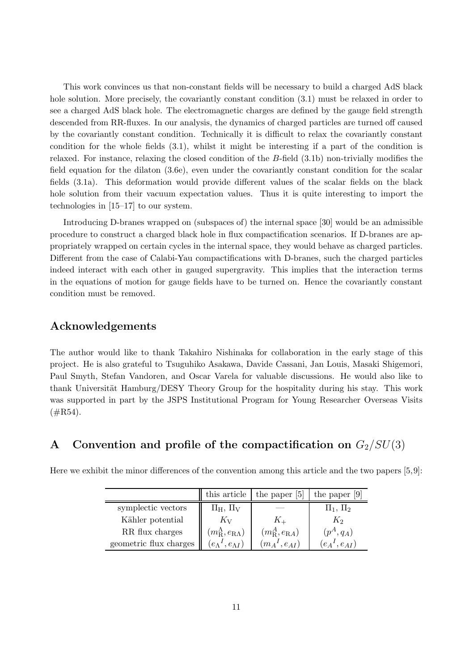This work convinces us that non-constant fields will be necessary to build a charged AdS black hole solution. More precisely, the covariantly constant condition  $(3.1)$  must be relaxed in order to see a charged AdS black hole. The electromagnetic charges are defined by the gauge field strength descended from RR-fluxes. In our analysis, the dynamics of charged particles are turned off caused by the covariantly constant condition. Technically it is difficult to relax the covariantly constant condition for the whole fields (3.1), whilst it might be interesting if a part of the condition is relaxed. For instance, relaxing the closed condition of the B-field (3.1b) non-trivially modifies the field equation for the dilaton (3.6e), even under the covariantly constant condition for the scalar fields (3.1a). This deformation would provide different values of the scalar fields on the black hole solution from their vacuum expectation values. Thus it is quite interesting to import the technologies in [15–17] to our system.

Introducing D-branes wrapped on (subspaces of) the internal space [30] would be an admissible procedure to construct a charged black hole in flux compactification scenarios. If D-branes are appropriately wrapped on certain cycles in the internal space, they would behave as charged particles. Different from the case of Calabi-Yau compactifications with D-branes, such the charged particles indeed interact with each other in gauged supergravity. This implies that the interaction terms in the equations of motion for gauge fields have to be turned on. Hence the covariantly constant condition must be removed.

## Acknowledgements

The author would like to thank Takahiro Nishinaka for collaboration in the early stage of this project. He is also grateful to Tsuguhiko Asakawa, Davide Cassani, Jan Louis, Masaki Shigemori, Paul Smyth, Stefan Vandoren, and Oscar Varela for valuable discussions. He would also like to thank Universität Hamburg/DESY Theory Group for the hospitality during his stay. This work was supported in part by the JSPS Institutional Program for Young Researcher Overseas Visits  $(\text{\#R54}).$ 

## A Convention and profile of the compactification on  $G_2/SU(3)$

|                        | this article                       | the paper [5]               | the paper $[9]$     |
|------------------------|------------------------------------|-----------------------------|---------------------|
| symplectic vectors     | $\Pi_H$ , $\Pi_V$                  |                             | $\Pi_1$ , $\Pi_2$   |
| Kähler potential       | $K_{V}$                            |                             | $K_2$               |
| RR flux charges        | $(m_{\rm R}^{\Lambda},e_{\rm RA})$ | $(m_{\rm R}^A, e_{\rm RA})$ | $(p^A,q_A)$         |
| geometric flux charges | $(e_\Lambda{}^I, e_{\Lambda}{}^I)$ | $(m_A{}^I, e_{AI})$         | $(e_A{}^I, e_{AI})$ |

Here we exhibit the minor differences of the convention among this article and the two papers [5,9]: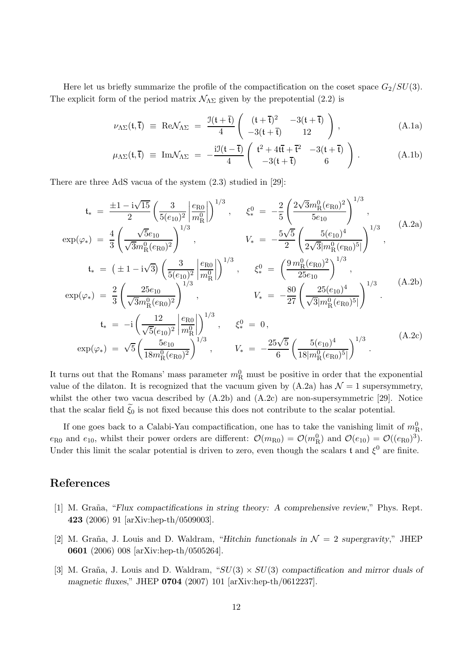Here let us briefly summarize the profile of the compactification on the coset space  $G_2/SU(3)$ . The explicit form of the period matrix  $\mathcal{N}_{\Lambda\Sigma}$  given by the prepotential (2.2) is

$$
\nu_{\Lambda\Sigma}(\mathfrak{t},\overline{\mathfrak{t}}) \equiv \text{Re}\mathcal{N}_{\Lambda\Sigma} = \frac{\mathfrak{I}(\mathfrak{t}+\overline{\mathfrak{t}})}{4} \left( \begin{array}{cc} (\mathfrak{t}+\overline{\mathfrak{t}})^2 & -3(\mathfrak{t}+\overline{\mathfrak{t}}) \\ -3(\mathfrak{t}+\overline{\mathfrak{t}}) & 12 \end{array} \right), \tag{A.1a}
$$

$$
\mu_{\Lambda\Sigma}(\mathfrak{t},\overline{\mathfrak{t}}) \equiv \mathrm{Im}\mathcal{N}_{\Lambda\Sigma} = -\frac{\mathrm{i}\mathfrak{I}(\mathfrak{t}-\overline{\mathfrak{t}})}{4} \left( \begin{array}{cc} \mathfrak{t}^2 + 4\mathrm{i}\overline{\mathfrak{t}} + \overline{\mathfrak{t}}^2 & -3(\mathfrak{t}+\overline{\mathfrak{t}}) \\ -3(\mathfrak{t}+\overline{\mathfrak{t}}) & 6 \end{array} \right). \tag{A.1b}
$$

There are three AdS vacua of the system (2.3) studied in [29]:

$$
t_{*} = \frac{\pm 1 - i\sqrt{15}}{2} \left( \frac{3}{5(e_{10})^{2}} \left| \frac{e_{R0}}{m_{R}^{0}} \right| \right)^{1/3}, \quad \xi_{*}^{0} = -\frac{2}{5} \left( \frac{2\sqrt{3}m_{R}^{0}(e_{R0})^{2}}{5e_{10}} \right)^{1/3},
$$
\n
$$
\exp(\varphi_{*}) = \frac{4}{3} \left( \frac{\sqrt{5}e_{10}}{\sqrt{3}m_{R}^{0}(e_{R0})^{2}} \right)^{1/3}, \quad V_{*} = -\frac{5\sqrt{5}}{2} \left( \frac{5(e_{10})^{4}}{2\sqrt{3}|m_{R}^{0}(e_{R0})^{5}|} \right)^{1/3},
$$
\n
$$
t_{*} = (\pm 1 - i\sqrt{3}) \left( \frac{3}{5(e_{10})^{2}} \left| \frac{e_{R0}}{m_{R}^{0}} \right| \right)^{1/3}, \quad \xi_{*}^{0} = \left( \frac{9m_{R}^{0}(e_{R0})^{2}}{25e_{10}} \right)^{1/3},
$$
\n
$$
\exp(\varphi_{*}) = \frac{2}{3} \left( \frac{25e_{10}}{\sqrt{3}m_{R}^{0}(e_{R0})^{2}} \right)^{1/3}, \quad V_{*} = -\frac{80}{27} \left( \frac{25(e_{10})^{4}}{\sqrt{3}|m_{R}^{0}(e_{R0})^{5}|} \right)^{1/3}.
$$
\n
$$
t_{*} = -i \left( \frac{12}{\sqrt{5}(e_{10})^{2}} \left| \frac{e_{R0}}{m_{R}^{0}} \right| \right)^{1/3}, \quad \xi_{*}^{0} = 0,
$$
\n
$$
\exp(\varphi_{*}) = \sqrt{5} \left( \frac{5e_{10}}{18m_{R}^{0}(e_{R0})^{2}} \right)^{1/3}, \quad V_{*} = -\frac{25\sqrt{5}}{6} \left( \frac{5(e_{10})^{4}}{18|m_{R}^{0}(e_{R0})^{5}|} \right)^{1/3}.
$$
\n(A.2c)

It turns out that the Romans' mass parameter  $m_R^0$  must be positive in order that the exponential value of the dilaton. It is recognized that the vacuum given by  $(A.2a)$  has  $\mathcal{N}=1$  supersymmetry, whilst the other two vacua described by  $(A.2b)$  and  $(A.2c)$  are non-supersymmetric [29]. Notice that the scalar field  $\xi_0$  is not fixed because this does not contribute to the scalar potential.

If one goes back to a Calabi-Yau compactification, one has to take the vanishing limit of  $m<sup>0</sup><sub>R</sub>$ ,  $e_{R0}$  and  $e_{10}$ , whilst their power orders are different:  $\mathcal{O}(m_{R0}) = \mathcal{O}(m_R^0)$  and  $\mathcal{O}(e_{10}) = \mathcal{O}((e_{R0})^3)$ . Under this limit the scalar potential is driven to zero, even though the scalars t and  $\xi^0$  are finite.

## References

- [1] M. Graña, "Flux compactifications in string theory: A comprehensive review," Phys. Rept. 423 (2006) 91 [arXiv:hep-th/0509003].
- [2] M. Graña, J. Louis and D. Waldram, "Hitchin functionals in  $\mathcal{N}=2$  supergravity," JHEP 0601 (2006) 008 [arXiv:hep-th/0505264].
- [3] M. Graña, J. Louis and D. Waldram, " $SU(3) \times SU(3)$  compactification and mirror duals of magnetic fluxes," JHEP 0704 (2007) 101 [arXiv:hep-th/0612237].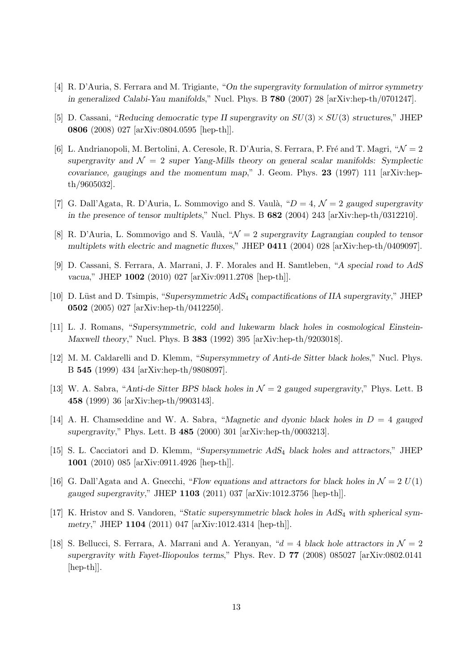- [4] R. D'Auria, S. Ferrara and M. Trigiante, "On the supergravity formulation of mirror symmetry in generalized Calabi-Yau manifolds," Nucl. Phys. B 780 (2007) 28 [arXiv:hep-th/0701247].
- [5] D. Cassani, "Reducing democratic type II supergravity on  $SU(3) \times SU(3)$  structures," JHEP 0806 (2008) 027 [arXiv:0804.0595 [hep-th]].
- [6] L. Andrianopoli, M. Bertolini, A. Ceresole, R. D'Auria, S. Ferrara, P. Fré and T. Magri, " $\mathcal{N} = 2$ supergravity and  $\mathcal{N} = 2$  super Yang-Mills theory on general scalar manifolds: Symplectic covariance, gaugings and the momentum map," J. Geom. Phys. 23 (1997) 111  $\ar{xiv:hep}$ th/9605032].
- [7] G. Dall'Agata, R. D'Auria, L. Sommovigo and S. Vaulà, " $D = 4$ ,  $\mathcal{N} = 2$  gauged supergravity in the presence of tensor multiplets," Nucl. Phys. B 682 (2004) 243 [arXiv:hep-th/0312210].
- [8] R. D'Auria, L. Sommovigo and S. Vaulà, " $\mathcal{N} = 2$  supergravity Lagrangian coupled to tensor multiplets with electric and magnetic fluxes," JHEP 0411 (2004) 028 [arXiv:hep-th/0409097].
- [9] D. Cassani, S. Ferrara, A. Marrani, J. F. Morales and H. Samtleben, "A special road to AdS vacua," JHEP 1002 (2010) 027 [arXiv:0911.2708 [hep-th]].
- [10] D. Lüst and D. Tsimpis, "Supersymmetric AdS<sub>4</sub> compactifications of IIA supergravity," JHEP 0502 (2005) 027 [arXiv:hep-th/0412250].
- [11] L. J. Romans, "Supersymmetric, cold and lukewarm black holes in cosmological Einstein-Maxwell theory," Nucl. Phys. B 383 (1992) 395 [arXiv:hep-th/9203018].
- [12] M. M. Caldarelli and D. Klemm, "Supersymmetry of Anti-de Sitter black holes," Nucl. Phys. B 545 (1999) 434 [arXiv:hep-th/9808097].
- [13] W. A. Sabra, "Anti-de Sitter BPS black holes in  $\mathcal{N}=2$  gauged supergravity," Phys. Lett. B 458 (1999) 36 [arXiv:hep-th/9903143].
- [14] A. H. Chamseddine and W. A. Sabra, "Magnetic and dyonic black holes in  $D = 4$  gauged supergravity," Phys. Lett. B 485 (2000) 301 [arXiv:hep-th/0003213].
- [15] S. L. Cacciatori and D. Klemm, "Supersymmetric AdS<sup>4</sup> black holes and attractors," JHEP 1001 (2010) 085 [arXiv:0911.4926 [hep-th]].
- [16] G. Dall'Agata and A. Gnecchi, "Flow equations and attractors for black holes in  $\mathcal{N} = 2 U(1)$ gauged supergravity," JHEP 1103 (2011) 037 [arXiv:1012.3756 [hep-th]].
- [17] K. Hristov and S. Vandoren, "Static supersymmetric black holes in AdS<sub>4</sub> with spherical symmetry," JHEP 1104 (2011) 047 [arXiv:1012.4314 [hep-th]].
- [18] S. Bellucci, S. Ferrara, A. Marrani and A. Yeranyan, " $d = 4$  black hole attractors in  $\mathcal{N} = 2$ supergravity with Fayet-Iliopoulos terms," Phys. Rev. D 77 (2008) 085027 [arXiv:0802.0141 [hep-th]].